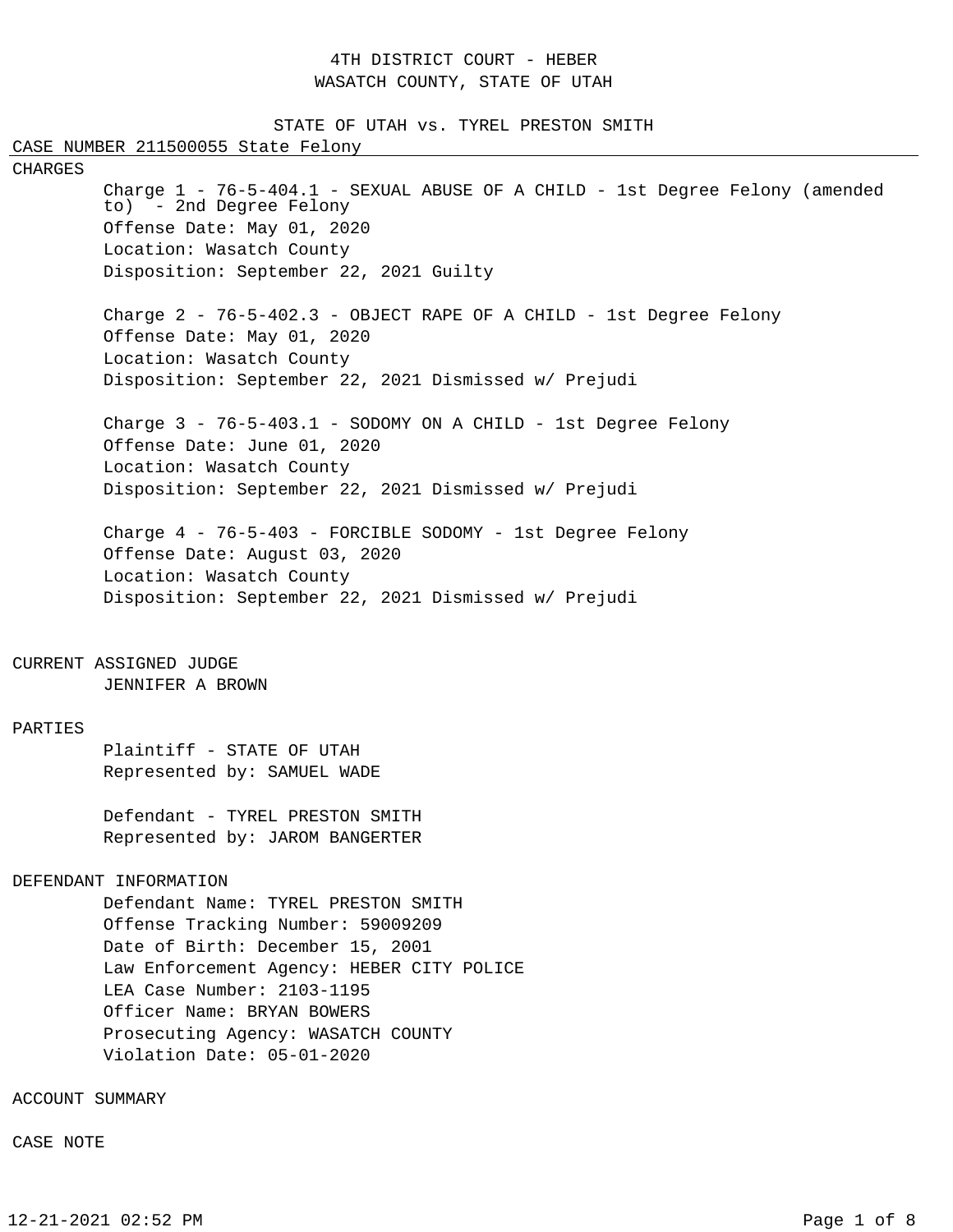## 4TH DISTRICT COURT - HEBER WASATCH COUNTY, STATE OF UTAH

STATE OF UTAH vs. TYREL PRESTON SMITH CASE NUMBER 211500055 State Felony CHARGES Charge 1 - 76-5-404.1 - SEXUAL ABUSE OF A CHILD - 1st Degree Felony (amended to) - 2nd Degree Felony Offense Date: May 01, 2020 Location: Wasatch County Disposition: September 22, 2021 Guilty Charge  $2$  -  $76-5-402.3$  - OBJECT RAPE OF A CHILD - 1st Degree Felony Offense Date: May 01, 2020 Location: Wasatch County Disposition: September 22, 2021 Dismissed w/ Prejudi Charge 3 - 76-5-403.1 - SODOMY ON A CHILD - 1st Degree Felony Offense Date: June 01, 2020 Location: Wasatch County Disposition: September 22, 2021 Dismissed w/ Prejudi Charge 4 - 76-5-403 - FORCIBLE SODOMY - 1st Degree Felony Offense Date: August 03, 2020 Location: Wasatch County Disposition: September 22, 2021 Dismissed w/ Prejudi CURRENT ASSIGNED JUDGE JENNIFER A BROWN PARTIES Plaintiff - STATE OF UTAH Represented by: SAMUEL WADE Defendant - TYREL PRESTON SMITH Represented by: JAROM BANGERTER DEFENDANT INFORMATION Defendant Name: TYREL PRESTON SMITH Offense Tracking Number: 59009209 Date of Birth: December 15, 2001 Law Enforcement Agency: HEBER CITY POLICE LEA Case Number: 2103-1195 Officer Name: BRYAN BOWERS Prosecuting Agency: WASATCH COUNTY Violation Date: 05-01-2020

ACCOUNT SUMMARY

CASE NOTE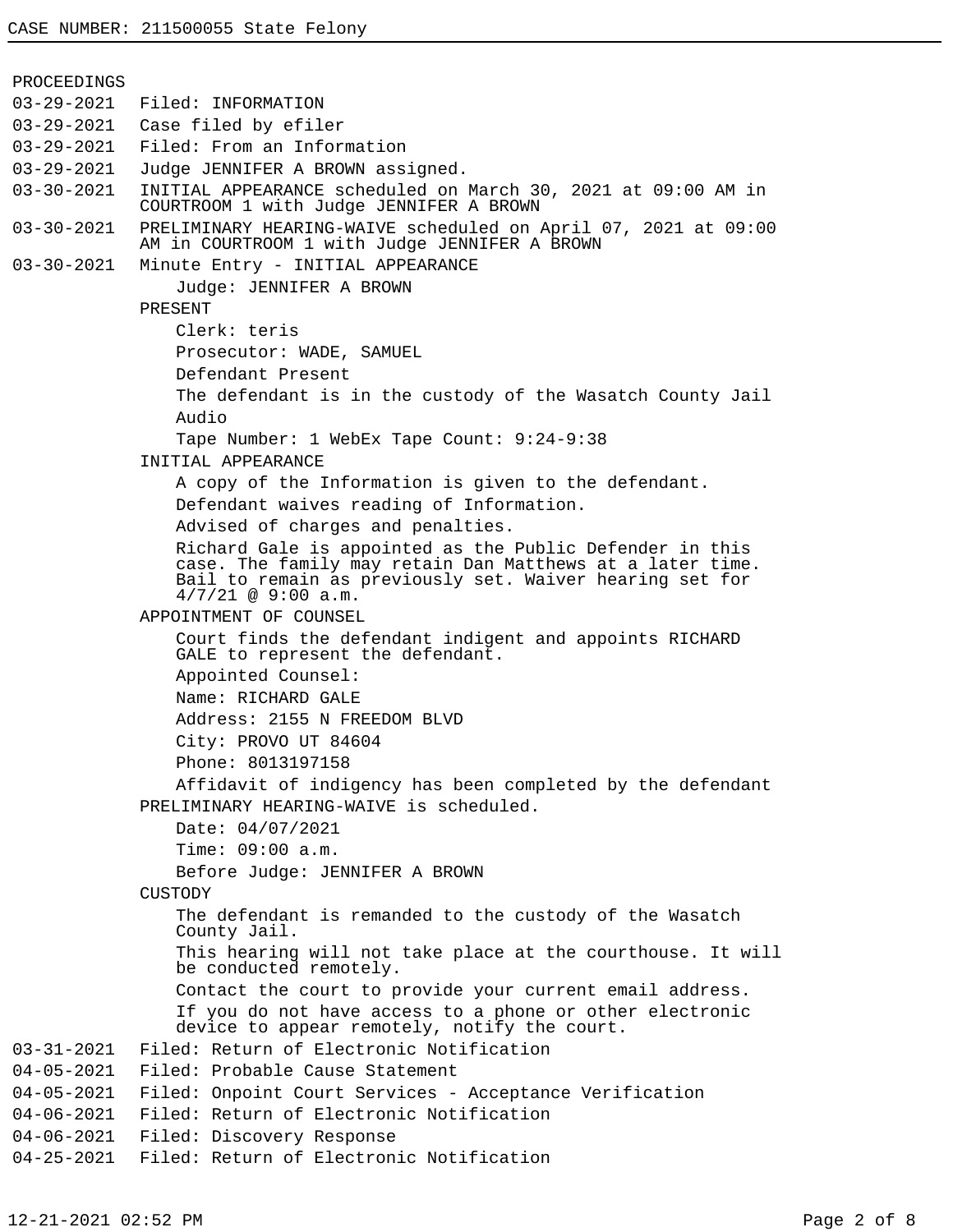PROCEEDINGS 03-29-2021 Filed: INFORMATION 03-29-2021 Case filed by efiler 03-29-2021 Filed: From an Information 03-29-2021 Judge JENNIFER A BROWN assigned. 03-30-2021 INITIAL APPEARANCE scheduled on March 30, 2021 at 09:00 AM in COURTROOM 1 with Judge JENNIFER A BROWN 03-30-2021 PRELIMINARY HEARING-WAIVE scheduled on April 07, 2021 at 09:00 AM in COURTROOM 1 with Judge JENNIFER A BROWN 03-30-2021 Minute Entry - INITIAL APPEARANCE Judge: JENNIFER A BROWN PRESENT Clerk: teris Prosecutor: WADE, SAMUEL Defendant Present The defendant is in the custody of the Wasatch County Jail Audio Tape Number: 1 WebEx Tape Count: 9:24-9:38 INITIAL APPEARANCE A copy of the Information is given to the defendant. Defendant waives reading of Information. Advised of charges and penalties. Richard Gale is appointed as the Public Defender in this case. The family may retain Dan Matthews at a later time. Bail to remain as previously set. Waiver hearing set for 4/7/21 @ 9:00 a.m. APPOINTMENT OF COUNSEL Court finds the defendant indigent and appoints RICHARD GALE to represent the defendant. Appointed Counsel: Name: RICHARD GALE Address: 2155 N FREEDOM BLVD City: PROVO UT 84604 Phone: 8013197158 Affidavit of indigency has been completed by the defendant PRELIMINARY HEARING-WAIVE is scheduled. Date: 04/07/2021 Time: 09:00 a.m. Before Judge: JENNIFER A BROWN CUSTODY The defendant is remanded to the custody of the Wasatch County Jail. This hearing will not take place at the courthouse. It will be conducted remotely. Contact the court to provide your current email address. If you do not have access to a phone or other electronic device to appear remotely, notify the court. 03-31-2021 Filed: Return of Electronic Notification 04-05-2021 Filed: Probable Cause Statement 04-05-2021 Filed: Onpoint Court Services - Acceptance Verification 04-06-2021 Filed: Return of Electronic Notification 04-06-2021 Filed: Discovery Response 04-25-2021 Filed: Return of Electronic Notification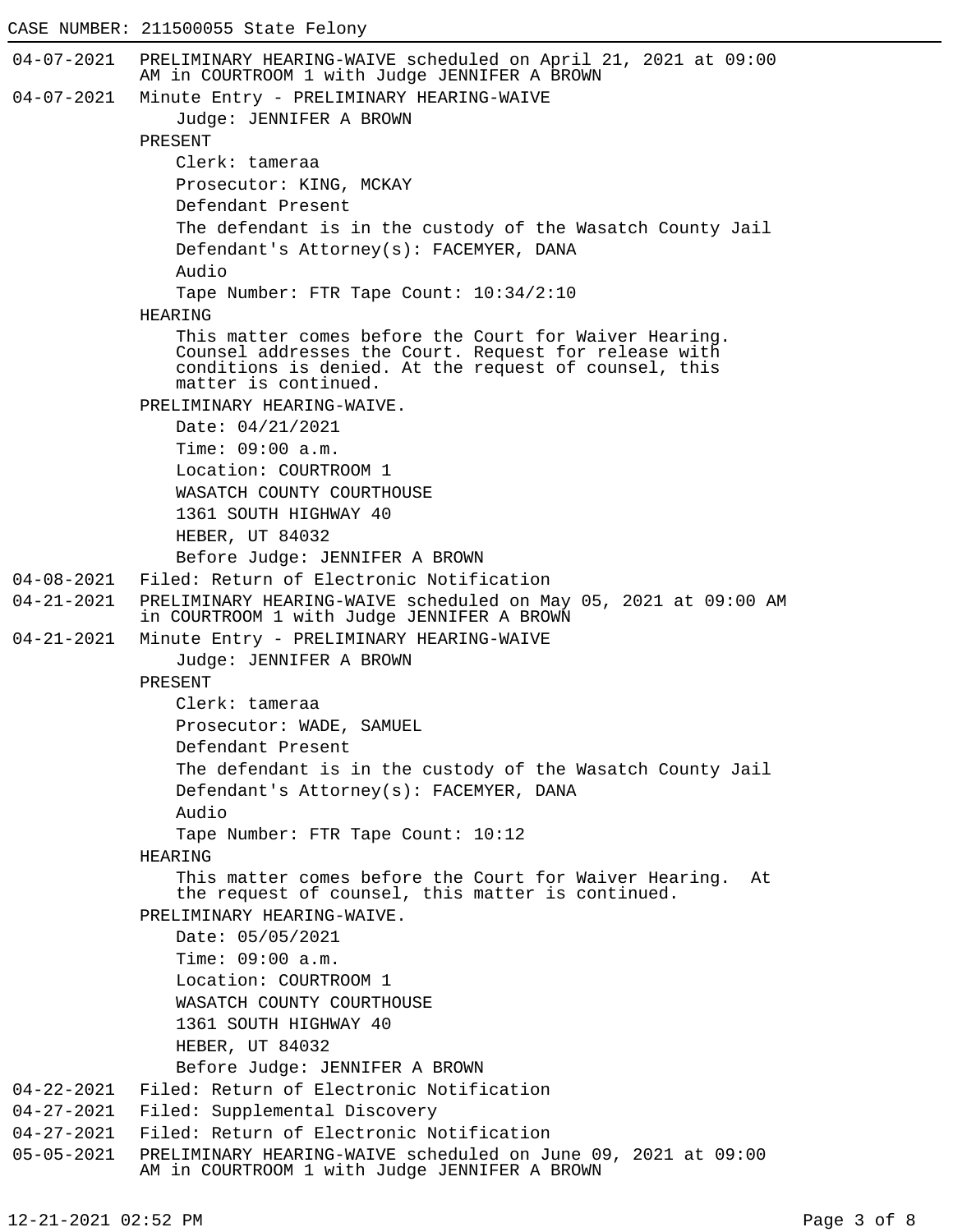## CASE NUMBER: 211500055 State Felony

```
04-07-2021 PRELIMINARY HEARING-WAIVE scheduled on April 21, 2021 at 09:00
            AM in COURTROOM 1 with Judge JENNIFER A BROWN
04-07-2021 Minute Entry - PRELIMINARY HEARING-WAIVE
                Judge: JENNIFER A BROWN
            PRESENT
                Clerk: tameraa
                Prosecutor: KING, MCKAY
                Defendant Present
                The defendant is in the custody of the Wasatch County Jail
                Defendant's Attorney(s): FACEMYER, DANA
                Audio
                Tape Number: FTR Tape Count: 10:34/2:10
            HEARING
                This matter comes before the Court for Waiver Hearing.
                Counsel addresses the Court. Request for release with
                conditions is denied. At the request of counsel, this
                matter is continued.
            PRELIMINARY HEARING-WAIVE.
                Date: 04/21/2021
                Time: 09:00 a.m.
                Location: COURTROOM 1
                WASATCH COUNTY COURTHOUSE
                1361 SOUTH HIGHWAY 40
                HEBER, UT 84032
                Before Judge: JENNIFER A BROWN
04-08-2021 Filed: Return of Electronic Notification
04-21-2021 PRELIMINARY HEARING-WAIVE scheduled on May 05, 2021 at 09:00 AM
            in COURTROOM 1 with Judge JENNIFER A BROWN
04-21-2021 Minute Entry - PRELIMINARY HEARING-WAIVE
                Judge: JENNIFER A BROWN
            PRESENT
                Clerk: tameraa
                Prosecutor: WADE, SAMUEL
                Defendant Present
                The defendant is in the custody of the Wasatch County Jail
                Defendant's Attorney(s): FACEMYER, DANA
                Audio
                Tape Number: FTR Tape Count: 10:12
            HEARING
                This matter comes before the Court for Waiver Hearing. At
                the request of counsel, this matter is continued.
            PRELIMINARY HEARING-WAIVE.
                Date: 05/05/2021
                Time: 09:00 a.m.
                Location: COURTROOM 1
                WASATCH COUNTY COURTHOUSE
                1361 SOUTH HIGHWAY 40
                HEBER, UT 84032
                Before Judge: JENNIFER A BROWN
04-22-2021 Filed: Return of Electronic Notification
04-27-2021 Filed: Supplemental Discovery
04-27-2021 Filed: Return of Electronic Notification
05-05-2021 PRELIMINARY HEARING-WAIVE scheduled on June 09, 2021 at 09:00
            AM in COURTROOM 1 with Judge JENNIFER A BROWN
```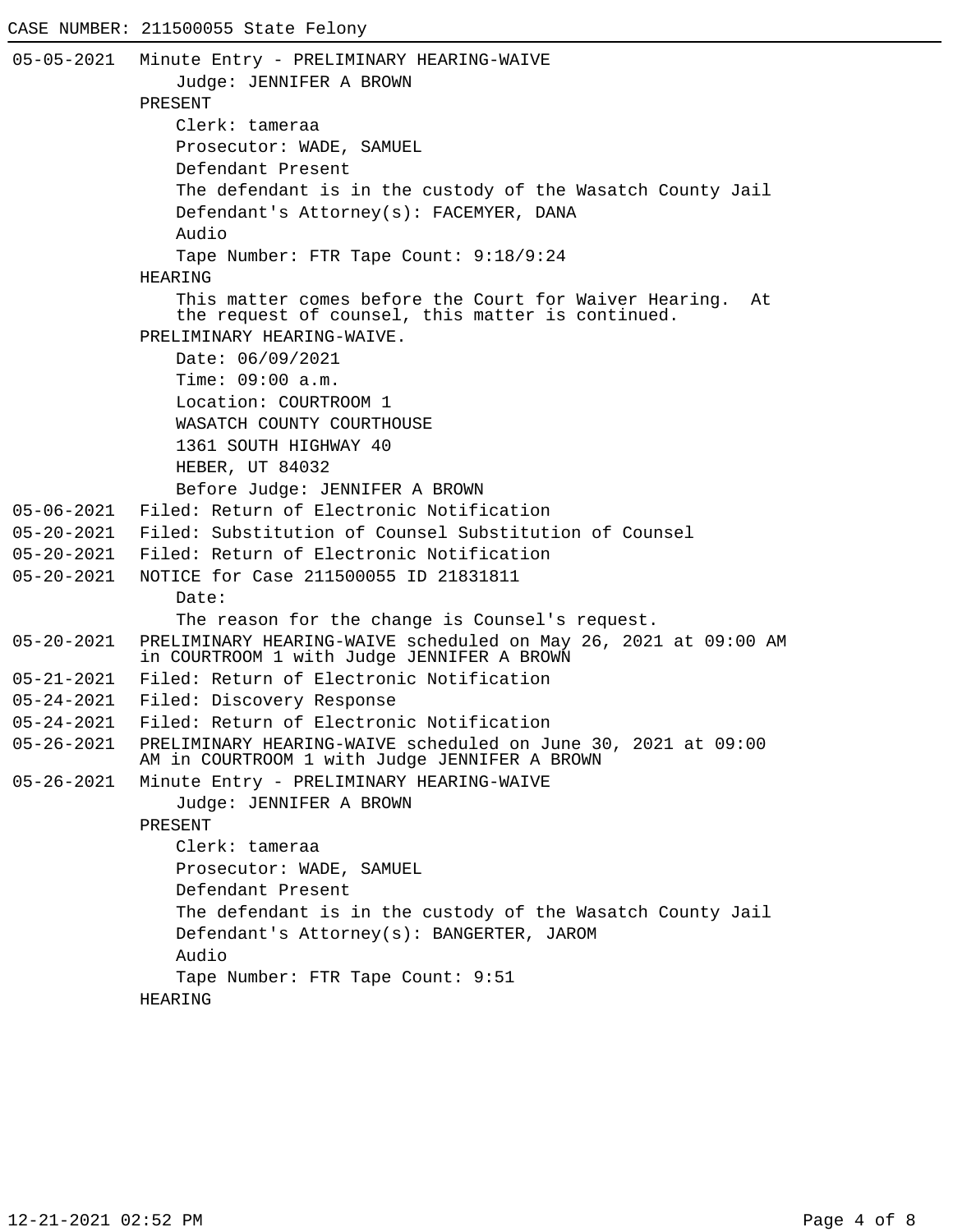```
05-05-2021 Minute Entry - PRELIMINARY HEARING-WAIVE
               Judge: JENNIFER A BROWN
            PRESENT
               Clerk: tameraa
               Prosecutor: WADE, SAMUEL
               Defendant Present
               The defendant is in the custody of the Wasatch County Jail
               Defendant's Attorney(s): FACEMYER, DANA
               Audio
               Tape Number: FTR Tape Count: 9:18/9:24
            HEARING
                This matter comes before the Court for Waiver Hearing. At
                the request of counsel, this matter is continued.
            PRELIMINARY HEARING-WAIVE.
               Date: 06/09/2021
               Time: 09:00 a.m.
               Location: COURTROOM 1
               WASATCH COUNTY COURTHOUSE
               1361 SOUTH HIGHWAY 40
               HEBER, UT 84032
               Before Judge: JENNIFER A BROWN
05-06-2021 Filed: Return of Electronic Notification
05-20-2021 Filed: Substitution of Counsel Substitution of Counsel
05-20-2021 Filed: Return of Electronic Notification
05-20-2021 NOTICE for Case 211500055 ID 21831811
               Date:
               The reason for the change is Counsel's request.
05-20-2021 PRELIMINARY HEARING-WAIVE scheduled on May 26, 2021 at 09:00 AM
            in COURTROOM 1 with Judge JENNIFER A BROWN
05-21-2021 Filed: Return of Electronic Notification
05-24-2021 Filed: Discovery Response
05-24-2021 Filed: Return of Electronic Notification
05-26-2021 PRELIMINARY HEARING-WAIVE scheduled on June 30, 2021 at 09:00
            AM in COURTROOM 1 with Judge JENNIFER A BROWN
05-26-2021 Minute Entry - PRELIMINARY HEARING-WAIVE
               Judge: JENNIFER A BROWN
            PRESENT
               Clerk: tameraa
               Prosecutor: WADE, SAMUEL
               Defendant Present
               The defendant is in the custody of the Wasatch County Jail
               Defendant's Attorney(s): BANGERTER, JAROM
               Audio
               Tape Number: FTR Tape Count: 9:51
            HEARING
```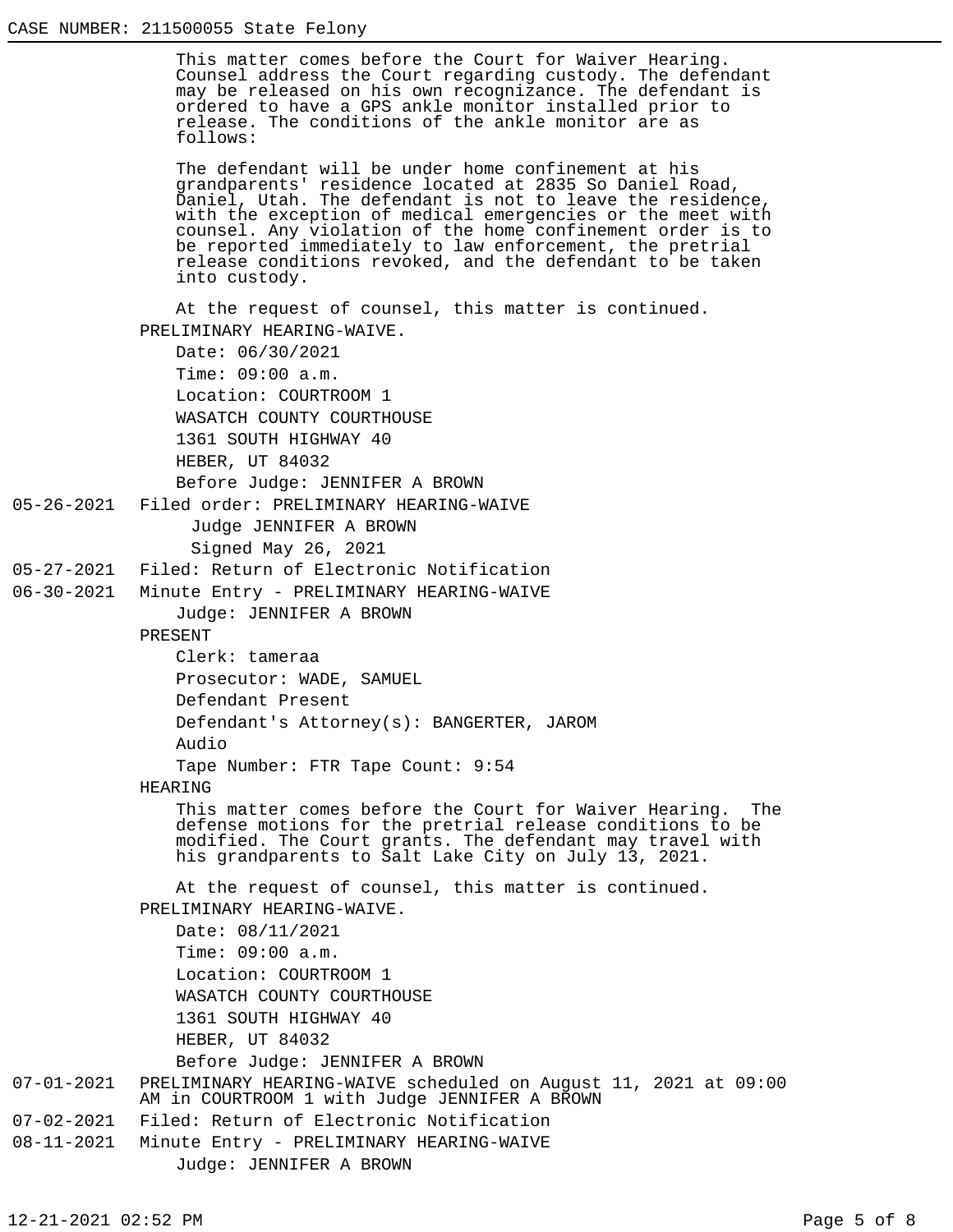This matter comes before the Court for Waiver Hearing. Counsel address the Court regarding custody. The defendant may be released on his own recognizance. The defendant is ordered to have a GPS ankle monitor installed prior to release. The conditions of the ankle monitor are as follows:

The defendant will be under home confinement at his grandparents' residence located at 2835 So Daniel Road, Daniel, Utah. The defendant is not to leave the residence, with the exception of medical emergencies or the meet with counsel. Any violation of the home confinement order is to be reported immediately to law enforcement, the pretrial release conditions revoked, and the defendant to be taken into custody.

At the request of counsel, this matter is continued. PRELIMINARY HEARING-WAIVE.

```
Date: 06/30/2021
Time: 09:00 a.m.
Location: COURTROOM 1
WASATCH COUNTY COURTHOUSE
1361 SOUTH HIGHWAY 40
HEBER, UT 84032
Before Judge: JENNIFER A BROWN
```
05-26-2021 Filed order: PRELIMINARY HEARING-WAIVE

Judge JENNIFER A BROWN

Signed May 26, 2021

05-27-2021 Filed: Return of Electronic Notification

06-30-2021 Minute Entry - PRELIMINARY HEARING-WAIVE

Judge: JENNIFER A BROWN

PRESENT

Clerk: tameraa

Prosecutor: WADE, SAMUEL

Defendant Present

Defendant's Attorney(s): BANGERTER, JAROM Audio

Tape Number: FTR Tape Count: 9:54

## HEARING

This matter comes before the Court for Waiver Hearing. The defense motions for the pretrial release conditions to be modified. The Court grants. The defendant may travel with his grandparents to Salt Lake City on July 13, 2021.

At the request of counsel, this matter is continued. PRELIMINARY HEARING-WAIVE.

Date: 08/11/2021 Time: 09:00 a.m. Location: COURTROOM 1 WASATCH COUNTY COURTHOUSE 1361 SOUTH HIGHWAY 40 HEBER, UT 84032

Before Judge: JENNIFER A BROWN

## 07-01-2021 PRELIMINARY HEARING-WAIVE scheduled on August 11, 2021 at 09:00 AM in COURTROOM 1 with Judge JENNIFER A BROWN 07-02-2021 Filed: Return of Electronic Notification

- 
- 08-11-2021 Minute Entry PRELIMINARY HEARING-WAIVE Judge: JENNIFER A BROWN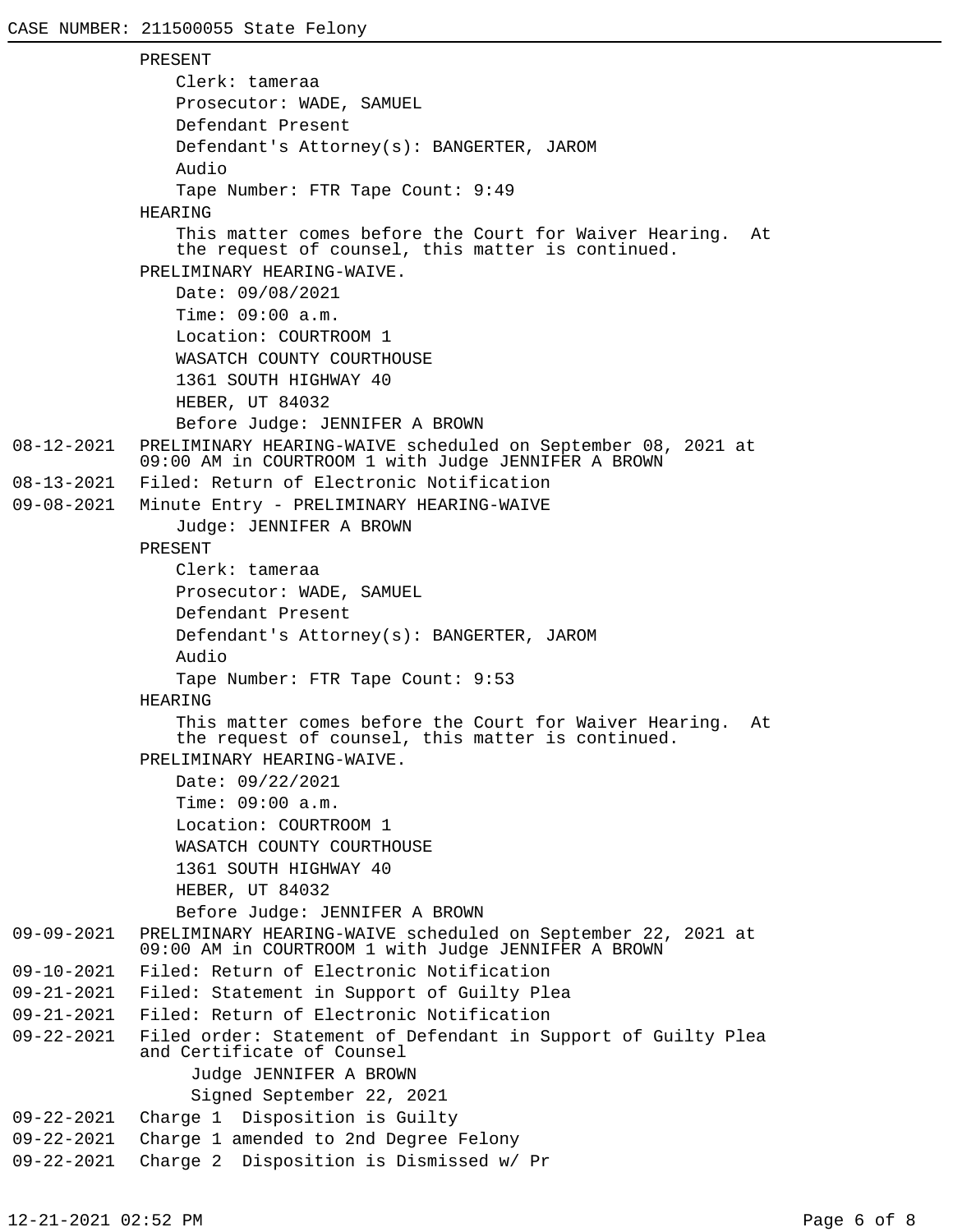```
PRESENT
               Clerk: tameraa
               Prosecutor: WADE, SAMUEL
               Defendant Present
               Defendant's Attorney(s): BANGERTER, JAROM
               Audio
               Tape Number: FTR Tape Count: 9:49
            HEARING
               This matter comes before the Court for Waiver Hearing. At
               the request of counsel, this matter is continued.
            PRELIMINARY HEARING-WAIVE.
               Date: 09/08/2021
               Time: 09:00 a.m.
               Location: COURTROOM 1
               WASATCH COUNTY COURTHOUSE
               1361 SOUTH HIGHWAY 40
               HEBER, UT 84032
               Before Judge: JENNIFER A BROWN
08-12-2021 PRELIMINARY HEARING-WAIVE scheduled on September 08, 2021 at
            09:00 AM in COURTROOM 1 with Judge JENNIFER A BROWN
08-13-2021 Filed: Return of Electronic Notification
09-08-2021 Minute Entry - PRELIMINARY HEARING-WAIVE
               Judge: JENNIFER A BROWN
            PRESENT
               Clerk: tameraa
               Prosecutor: WADE, SAMUEL
               Defendant Present
               Defendant's Attorney(s): BANGERTER, JAROM
               Audio
               Tape Number: FTR Tape Count: 9:53
            HEARING
               This matter comes before the Court for Waiver Hearing. At
               the request of counsel, this matter is continued.
            PRELIMINARY HEARING-WAIVE.
               Date: 09/22/2021
               Time: 09:00 a.m.
               Location: COURTROOM 1
               WASATCH COUNTY COURTHOUSE
               1361 SOUTH HIGHWAY 40
               HEBER, UT 84032
               Before Judge: JENNIFER A BROWN
09-09-2021 PRELIMINARY HEARING-WAIVE scheduled on September 22, 2021 at
            09:00 AM in COURTROOM 1 with Judge JENNIFER A BROWN
09-10-2021 Filed: Return of Electronic Notification
09-21-2021 Filed: Statement in Support of Guilty Plea
09-21-2021 Filed: Return of Electronic Notification
09-22-2021 Filed order: Statement of Defendant in Support of Guilty Plea
            and Certificate of Counsel
                  Judge JENNIFER A BROWN
                  Signed September 22, 2021
09-22-2021 Charge 1 Disposition is Guilty
09-22-2021 Charge 1 amended to 2nd Degree Felony
09-22-2021 Charge 2 Disposition is Dismissed w/ Pr
```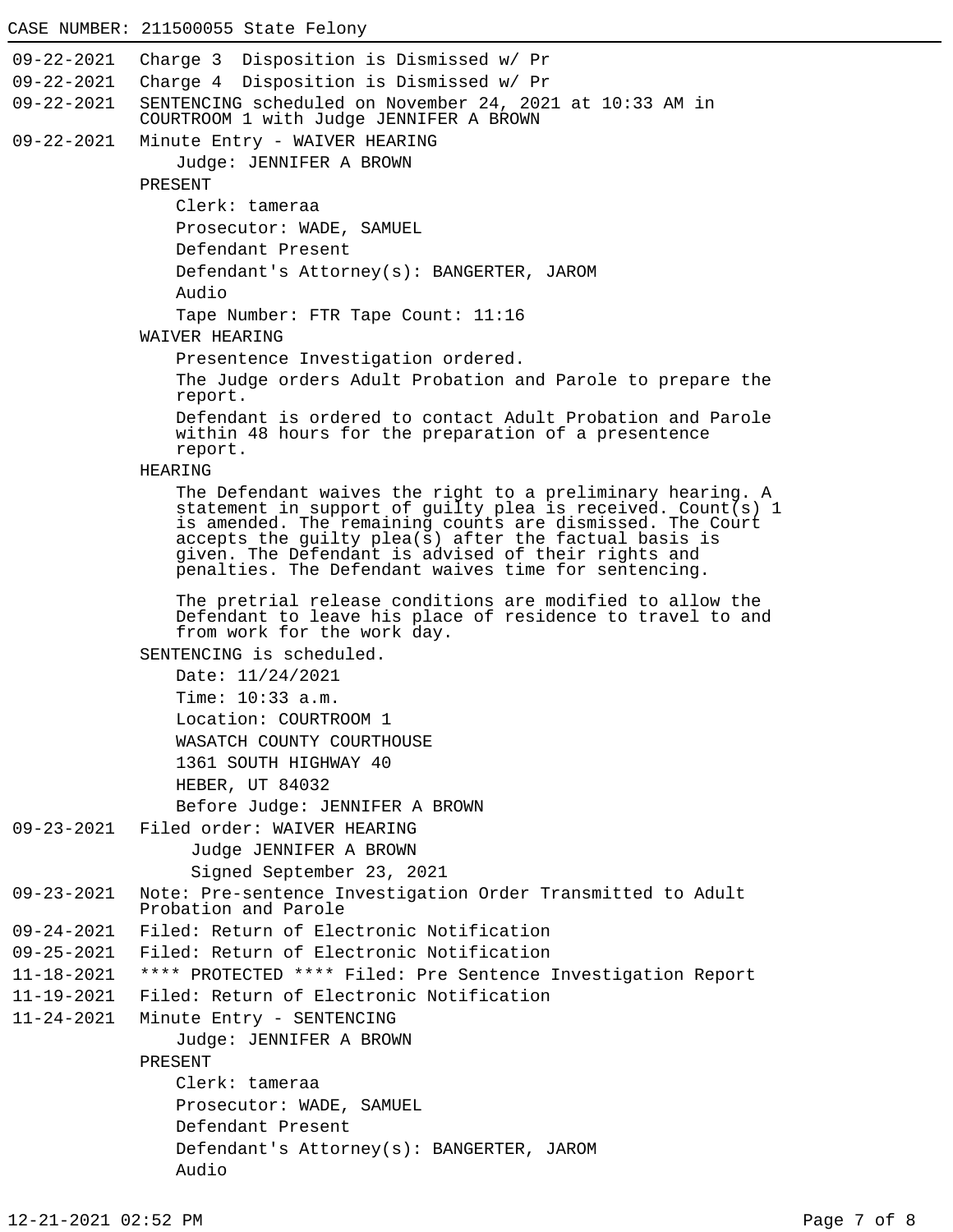```
09-22-2021 Charge 3 Disposition is Dismissed w/ Pr
09-22-2021 Charge 4 Disposition is Dismissed w/ Pr
09-22-2021 SENTENCING scheduled on November 24, 2021 at 10:33 AM in
            COURTROOM 1 with Judge JENNIFER A BROWN
09-22-2021 Minute Entry - WAIVER HEARING
                Judge: JENNIFER A BROWN
            PRESENT
                Clerk: tameraa
                Prosecutor: WADE, SAMUEL
                Defendant Present
                Defendant's Attorney(s): BANGERTER, JAROM
                Audio
                Tape Number: FTR Tape Count: 11:16
            WAIVER HEARING
                Presentence Investigation ordered.
                The Judge orders Adult Probation and Parole to prepare the
                report.
                Defendant is ordered to contact Adult Probation and Parole
                within 48 hours for the preparation of a presentence
                report.
            HEARING
                The Defendant waives the right to a preliminary hearing. A
                statement in support of guilty plea is received. Count(s) 1
                is amended. The remaining counts are dismissed. The Court
                accepts the guilty plea(\bar{s}) after the factual basis is
                given. The Defendant is advised of their rights and
                penalties. The Defendant waives time for sentencing.
                The pretrial release conditions are modified to allow the
                Defendant to leave his place of residence to travel to and
                from work for the work day.
            SENTENCING is scheduled.
                Date: 11/24/2021
                Time: 10:33 a.m.
                Location: COURTROOM 1
                WASATCH COUNTY COURTHOUSE
                1361 SOUTH HIGHWAY 40
                HEBER, UT 84032
                Before Judge: JENNIFER A BROWN
09-23-2021 Filed order: WAIVER HEARING
                  Judge JENNIFER A BROWN
                  Signed September 23, 2021
09-23-2021 Note: Pre-sentence Investigation Order Transmitted to Adult
            Probation and Parole
09-24-2021 Filed: Return of Electronic Notification
09-25-2021 Filed: Return of Electronic Notification
11-18-2021 **** PROTECTED **** Filed: Pre Sentence Investigation Report
11-19-2021 Filed: Return of Electronic Notification
11-24-2021 Minute Entry - SENTENCING
                Judge: JENNIFER A BROWN
            PRESENT
                Clerk: tameraa
                Prosecutor: WADE, SAMUEL
                Defendant Present
                Defendant's Attorney(s): BANGERTER, JAROM
                Audio
```
CASE NUMBER: 211500055 State Felony